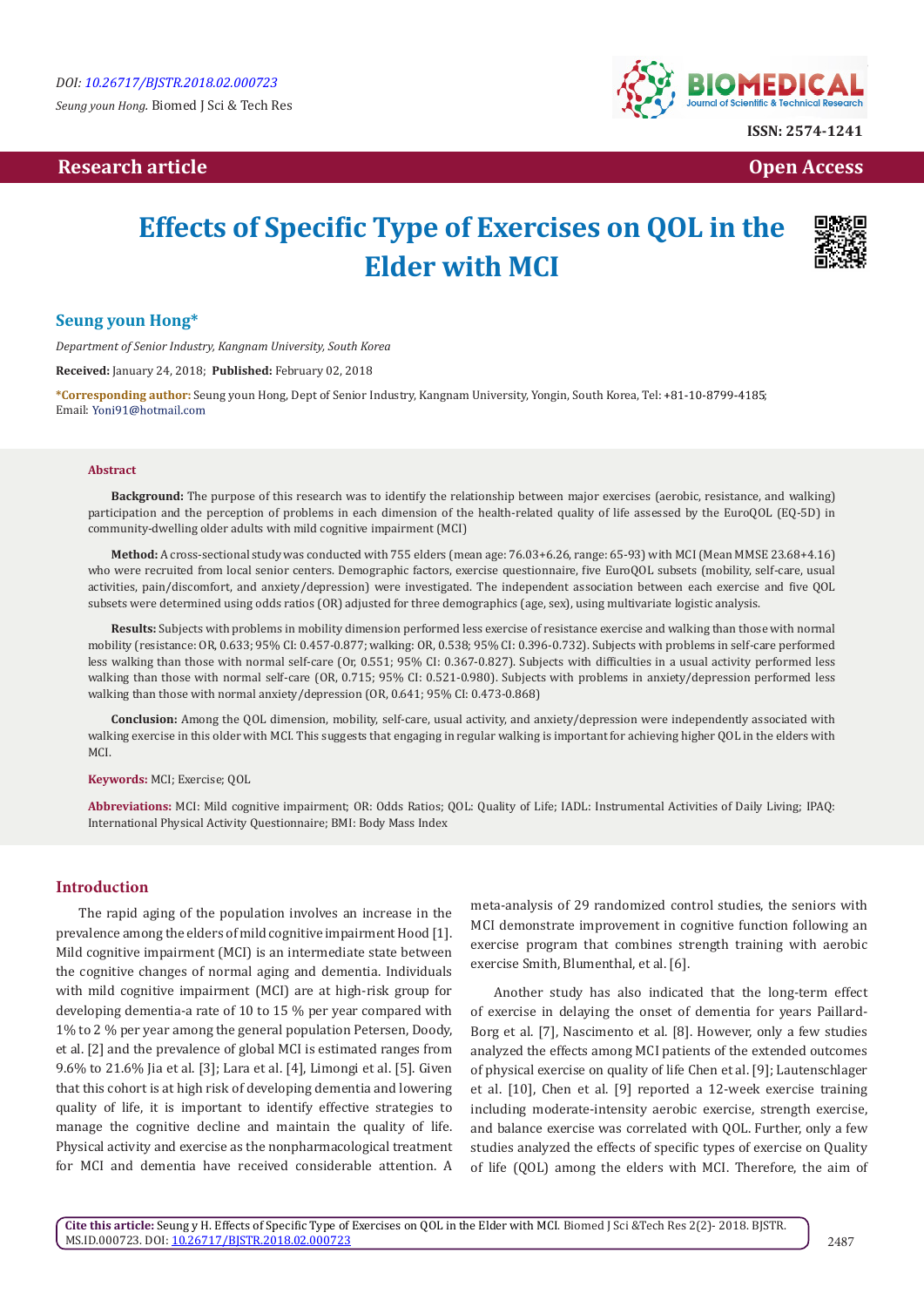*Seung youn Hong.* Biomed J Sci & Tech Res

# **Research article Community Community Community Community Community Community Community Community Community Community Community Community Community Community Community Community Community Community Community Community Com**



# **Effects of Specific Type of Exercises on QOL in the Elder with MCI**



#### **Seung youn Hong\***

*Department of Senior Industry, Kangnam University, South Korea*

**Received:** January 24, 2018; **Published:** February 02, 2018

**\*Corresponding author:** Seung youn Hong, Dept of Senior Industry, Kangnam University, Yongin, South Korea, Tel: ; Email: Yoni91@hotmail.com

#### **Abstract**

**Background:** The purpose of this research was to identify the relationship between major exercises (aerobic, resistance, and walking) participation and the perception of problems in each dimension of the health-related quality of life assessed by the EuroQOL (EQ-5D) in community-dwelling older adults with mild cognitive impairment (MCI)

**Method:** A cross-sectional study was conducted with 755 elders (mean age: 76.03+6.26, range: 65-93) with MCI (Mean MMSE 23.68+4.16) who were recruited from local senior centers. Demographic factors, exercise questionnaire, five EuroQOL subsets (mobility, self-care, usual activities, pain/discomfort, and anxiety/depression) were investigated. The independent association between each exercise and five QOL subsets were determined using odds ratios (OR) adjusted for three demographics (age, sex), using multivariate logistic analysis.

**Results:** Subjects with problems in mobility dimension performed less exercise of resistance exercise and walking than those with normal mobility (resistance: OR, 0.633; 95% CI: 0.457-0.877; walking: OR, 0.538; 95% CI: 0.396-0.732). Subjects with problems in self-care performed less walking than those with normal self-care (Or, 0.551; 95% CI: 0.367-0.827). Subjects with difficulties in a usual activity performed less walking than those with normal self-care (OR, 0.715; 95% CI: 0.521-0.980). Subjects with problems in anxiety/depression performed less walking than those with normal anxiety/depression (OR, 0.641; 95% CI: 0.473-0.868)

**Conclusion:** Among the QOL dimension, mobility, self-care, usual activity, and anxiety/depression were independently associated with walking exercise in this older with MCI. This suggests that engaging in regular walking is important for achieving higher QOL in the elders with MCI.

**Keywords:** MCI; Exercise; QOL

**Abbreviations:** MCI: Mild cognitive impairment; OR: Odds Ratios; QOL: Quality of Life; IADL: Instrumental Activities of Daily Living; IPAQ: International Physical Activity Questionnaire; BMI: Body Mass Index

#### **Introduction**

The rapid aging of the population involves an increase in the prevalence among the elders of mild cognitive impairment Hood [1]. Mild cognitive impairment (MCI) is an intermediate state between the cognitive changes of normal aging and dementia. Individuals with mild cognitive impairment (MCI) are at high-risk group for developing dementia-a rate of 10 to 15 % per year compared with 1% to 2 % per year among the general population Petersen, Doody, et al. [2] and the prevalence of global MCI is estimated ranges from 9.6% to 21.6% Jia et al. [3]; Lara et al. [4], Limongi et al. [5]. Given that this cohort is at high risk of developing dementia and lowering quality of life, it is important to identify effective strategies to manage the cognitive decline and maintain the quality of life. Physical activity and exercise as the nonpharmacological treatment for MCI and dementia have received considerable attention. A

meta-analysis of 29 randomized control studies, the seniors with MCI demonstrate improvement in cognitive function following an exercise program that combines strength training with aerobic exercise Smith, Blumenthal, et al. [6].

Another study has also indicated that the long-term effect of exercise in delaying the onset of dementia for years Paillard-Borg et al. [7], Nascimento et al. [8]. However, only a few studies analyzed the effects among MCI patients of the extended outcomes of physical exercise on quality of life Chen et al. [9]; Lautenschlager et al. [10], Chen et al. [9] reported a 12-week exercise training including moderate-intensity aerobic exercise, strength exercise, and balance exercise was correlated with QOL. Further, only a few studies analyzed the effects of specific types of exercise on Quality of life (QOL) among the elders with MCI. Therefore, the aim of

**Cite this article:** Seung y H. Effects of Specific Type of Exercises on QOL in the Elder with MCI. Biomed J Sci &Tech Res 2(2)- 2018. BJSTR. MS.ID.000723. DOI: [10.26717/BJSTR.2018.02.000723](http://dx.doi.org/10.26717/BJSTR.2018.02.000723)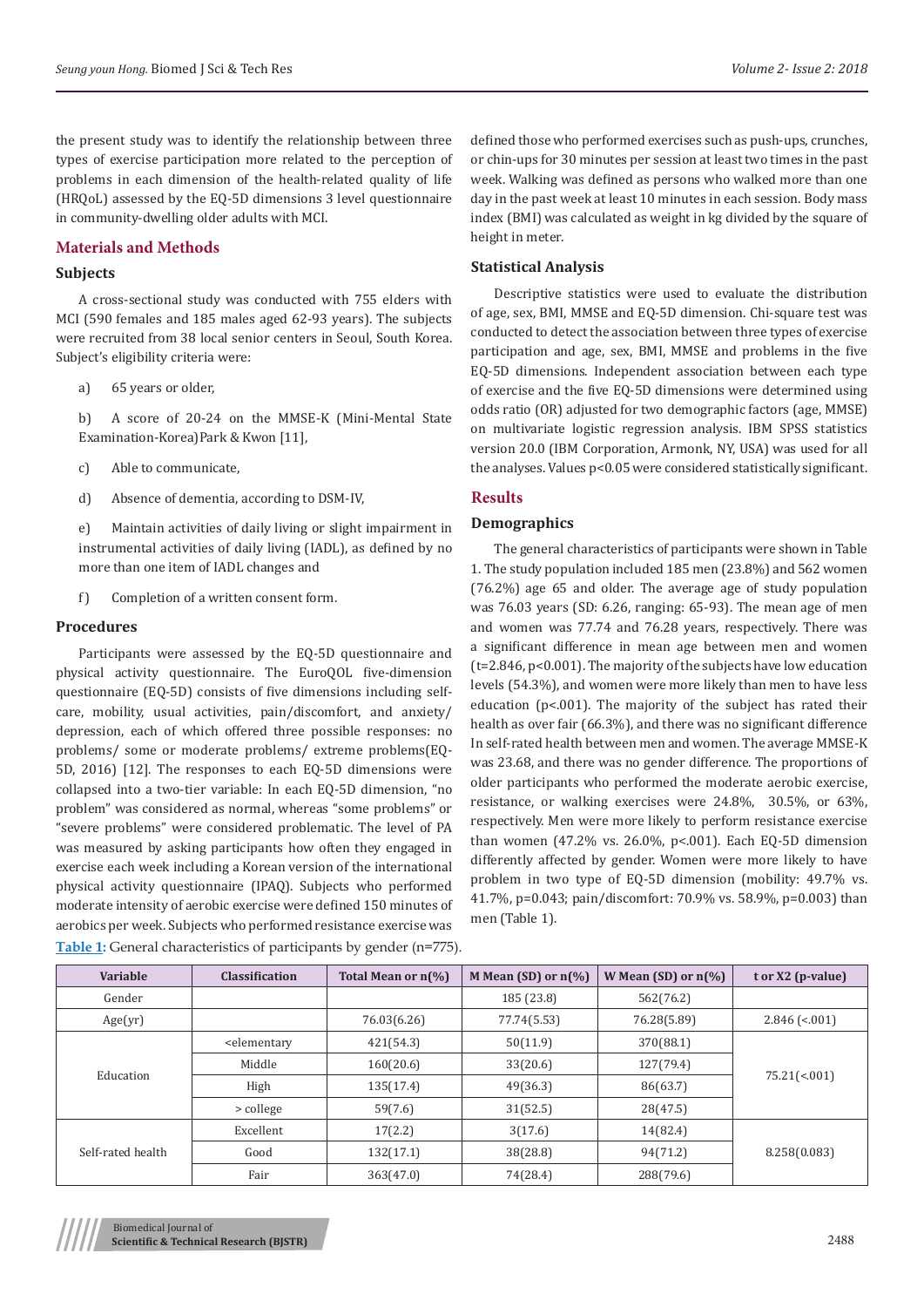the present study was to identify the relationship between three types of exercise participation more related to the perception of problems in each dimension of the health-related quality of life (HRQoL) assessed by the EQ-5D dimensions 3 level questionnaire in community-dwelling older adults with MCI.

# **Materials and Methods**

#### **Subjects**

A cross-sectional study was conducted with 755 elders with MCI (590 females and 185 males aged 62-93 years). The subjects were recruited from 38 local senior centers in Seoul, South Korea. Subject's eligibility criteria were:

a) 65 years or older,

b) A score of 20-24 on the MMSE-K (Mini-Mental State Examination-Korea)Park & Kwon [11],

c) Able to communicate,

d) Absence of dementia, according to DSM-IV,

e) Maintain activities of daily living or slight impairment in instrumental activities of daily living (IADL), as defined by no more than one item of IADL changes and

f) Completion of a written consent form.

#### **Procedures**

Participants were assessed by the EQ-5D questionnaire and physical activity questionnaire. The EuroQOL five-dimension questionnaire (EQ-5D) consists of five dimensions including selfcare, mobility, usual activities, pain/discomfort, and anxiety/ depression, each of which offered three possible responses: no problems/ some or moderate problems/ extreme problems(EQ-5D, 2016) [12]. The responses to each EQ-5D dimensions were collapsed into a two-tier variable: In each EQ-5D dimension, "no problem" was considered as normal, whereas "some problems" or "severe problems" were considered problematic. The level of PA was measured by asking participants how often they engaged in exercise each week including a Korean version of the international physical activity questionnaire (IPAQ). Subjects who performed moderate intensity of aerobic exercise were defined 150 minutes of aerobics per week. Subjects who performed resistance exercise was **Table 1:** General characteristics of participants by gender (n=775).

defined those who performed exercises such as push-ups, crunches, or chin-ups for 30 minutes per session at least two times in the past week. Walking was defined as persons who walked more than one day in the past week at least 10 minutes in each session. Body mass index (BMI) was calculated as weight in kg divided by the square of height in meter.

#### **Statistical Analysis**

Descriptive statistics were used to evaluate the distribution of age, sex, BMI, MMSE and EQ-5D dimension. Chi-square test was conducted to detect the association between three types of exercise participation and age, sex, BMI, MMSE and problems in the five EQ-5D dimensions. Independent association between each type of exercise and the five EQ-5D dimensions were determined using odds ratio (OR) adjusted for two demographic factors (age, MMSE) on multivariate logistic regression analysis. IBM SPSS statistics version 20.0 (IBM Corporation, Armonk, NY, USA) was used for all the analyses. Values p<0.05 were considered statistically significant.

# **Results**

### **Demographics**

The general characteristics of participants were shown in Table 1. The study population included 185 men (23.8%) and 562 women (76.2%) age 65 and older. The average age of study population was 76.03 years (SD: 6.26, ranging: 65-93). The mean age of men and women was 77.74 and 76.28 years, respectively. There was a significant difference in mean age between men and women (t=2.846, p<0.001). The majority of the subjects have low education levels (54.3%), and women were more likely than men to have less education (p<.001). The majority of the subject has rated their health as over fair (66.3%), and there was no significant difference In self-rated health between men and women. The average MMSE-K was 23.68, and there was no gender difference. The proportions of older participants who performed the moderate aerobic exercise, resistance, or walking exercises were 24.8%, 30.5%, or 63%, respectively. Men were more likely to perform resistance exercise than women (47.2% vs. 26.0%, p<.001). Each EQ-5D dimension differently affected by gender. Women were more likely to have problem in two type of EQ-5D dimension (mobility: 49.7% vs. 41.7%, p=0.043; pain/discomfort: 70.9% vs. 58.9%, p=0.003) than men (Table 1).

| <b>Variable</b>   | <b>Classification</b>                                                                                                   | Total Mean or n(%) | M Mean (SD) or $n\frac{6}{6}$ | W Mean (SD) or $n\llap{/}{\!\sim}$ | $tor X2 (p-value)$       |  |
|-------------------|-------------------------------------------------------------------------------------------------------------------------|--------------------|-------------------------------|------------------------------------|--------------------------|--|
| Gender            |                                                                                                                         |                    | 185 (23.8)                    | 562(76.2)                          |                          |  |
| Age(yr)           |                                                                                                                         | 76.03(6.26)        | 77.74(5.53)                   | 76.28(5.89)                        | $2.846$ ( $\leq 0.001$ ) |  |
| Education         | <elementary< td=""><td>421(54.3)</td><td>50(11.9)</td><td>370(88.1)</td><td colspan="2" rowspan="2"></td></elementary<> | 421(54.3)          | 50(11.9)                      | 370(88.1)                          |                          |  |
|                   | Middle                                                                                                                  | 160(20.6)          | 33(20.6)                      | 127(79.4)                          |                          |  |
|                   | High                                                                                                                    | 135(17.4)          | 49(36.3)                      | 86(63.7)                           | $75.21(\le 0.01)$        |  |
|                   | > college                                                                                                               | 59(7.6)            | 31(52.5)                      | 28(47.5)                           |                          |  |
| Self-rated health | Excellent                                                                                                               | 17(2.2)            | 3(17.6)                       | 14(82.4)                           |                          |  |
|                   | Good                                                                                                                    | 132(17.1)          | 38(28.8)                      | 94(71.2)                           | 8.258(0.083)             |  |
|                   | Fair                                                                                                                    | 363(47.0)          | 74(28.4)                      | 288(79.6)                          |                          |  |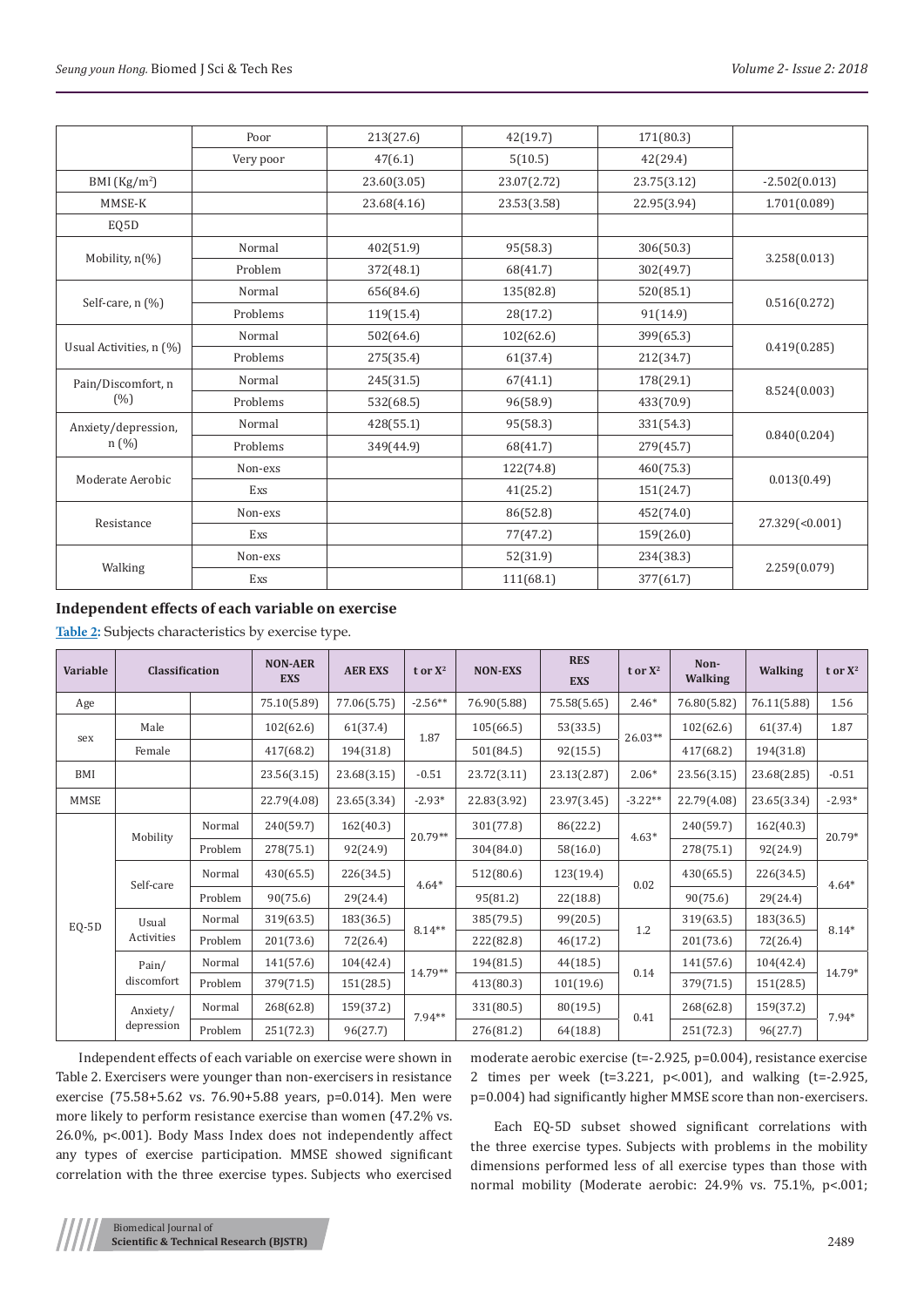|                                | Poor      | 213(27.6)   | 42(19.7)    | 171(80.3)   |                 |  |
|--------------------------------|-----------|-------------|-------------|-------------|-----------------|--|
|                                | Very poor | 47(6.1)     | 5(10.5)     | 42(29.4)    |                 |  |
| BMI $(Kg/m2)$                  |           | 23.60(3.05) | 23.07(2.72) | 23.75(3.12) | $-2.502(0.013)$ |  |
| MMSE-K                         |           | 23.68(4.16) | 23.53(3.58) | 22.95(3.94) | 1.701(0.089)    |  |
| EQ5D                           |           |             |             |             |                 |  |
|                                | Normal    | 402(51.9)   | 95(58.3)    | 306(50.3)   |                 |  |
| Mobility, n(%)                 | Problem   | 372(48.1)   | 68(41.7)    | 302(49.7)   | 3.258(0.013)    |  |
|                                | Normal    | 656(84.6)   | 135(82.8)   | 520(85.1)   |                 |  |
| Self-care, n (%)               | Problems  | 119(15.4)   | 28(17.2)    | 91(14.9)    | 0.516(0.272)    |  |
|                                | Normal    | 502(64.6)   | 102(62.6)   | 399(65.3)   | 0.419(0.285)    |  |
| Usual Activities, n (%)        | Problems  | 275(35.4)   | 61(37.4)    | 212(34.7)   |                 |  |
| Pain/Discomfort, n             | Normal    | 245(31.5)   | 67(41.1)    | 178(29.1)   |                 |  |
| (%)                            | Problems  | 532(68.5)   | 96(58.9)    | 433(70.9)   | 8.524(0.003)    |  |
| Anxiety/depression,<br>$n(\%)$ | Normal    | 428(55.1)   | 95(58.3)    | 331(54.3)   | 0.840(0.204)    |  |
|                                | Problems  | 349(44.9)   | 68(41.7)    | 279(45.7)   |                 |  |
| Moderate Aerobic               | Non-exs   |             | 122(74.8)   | 460(75.3)   |                 |  |
|                                | Exs       |             | 41(25.2)    | 151(24.7)   | 0.013(0.49)     |  |
| Resistance                     | Non-exs   |             | 86(52.8)    | 452(74.0)   |                 |  |
|                                | Exs       |             | 77(47.2)    | 159(26.0)   | 27.329(<0.001)  |  |
| Walking                        | Non-exs   |             | 52(31.9)    | 234(38.3)   |                 |  |
|                                | Exs       |             | 111(68.1)   | 377(61.7)   | 2.259(0.079)    |  |

# **Independent effects of each variable on exercise**

**Table 2:** Subjects characteristics by exercise type.

| <b>Variable</b>        | <b>Classification</b> |           | <b>NON-AER</b><br><b>EXS</b> | <b>AER EXS</b> | t or $X^2$ | <b>NON-EXS</b> | <b>RES</b><br><b>EXS</b> | t or $X^2$ | Non-<br><b>Walking</b> | <b>Walking</b> | t or $X^2$ |
|------------------------|-----------------------|-----------|------------------------------|----------------|------------|----------------|--------------------------|------------|------------------------|----------------|------------|
| Age                    |                       |           | 75.10(5.89)                  | 77.06(5.75)    | $-2.56**$  | 76.90(5.88)    | 75.58(5.65)              | $2.46*$    | 76.80(5.82)            | 76.11(5.88)    | 1.56       |
| sex                    | Male                  |           | 102(62.6)                    | 61(37.4)       | 1.87       | 105(66.5)      | 53(33.5)                 | $26.03**$  | 102(62.6)              | 61(37.4)       | 1.87       |
|                        | Female                |           | 417(68.2)                    | 194(31.8)      |            | 501(84.5)      | 92(15.5)                 |            | 417(68.2)              | 194(31.8)      |            |
| <b>BMI</b>             |                       |           | 23.56(3.15)                  | 23.68(3.15)    | $-0.51$    | 23.72(3.11)    | 23.13(2.87)              | $2.06*$    | 23.56(3.15)            | 23.68(2.85)    | $-0.51$    |
| <b>MMSE</b>            |                       |           | 22.79(4.08)                  | 23.65(3.34)    | $-2.93*$   | 22.83(3.92)    | 23.97(3.45)              | $-3.22**$  | 22.79(4.08)            | 23.65(3.34)    | $-2.93*$   |
| Mobility<br>Self-care  |                       | Normal    | 240(59.7)                    | 162(40.3)      | 20.79**    | 301(77.8)      | 86(22.2)                 | $4.63*$    | 240(59.7)              | 162(40.3)      | $20.79*$   |
|                        |                       | Problem   | 278(75.1)                    | 92(24.9)       |            | 304(84.0)      | 58(16.0)                 |            | 278(75.1)              | 92(24.9)       |            |
|                        |                       | Normal    | 430(65.5)                    | 226(34.5)      | $4.64*$    | 512(80.6)      | 123(19.4)                | 0.02       | 430(65.5)              | 226(34.5)      | $4.64*$    |
|                        |                       | Problem   | 90(75.6)                     | 29(24.4)       |            | 95(81.2)       | 22(18.8)                 |            | 90(75.6)               | 29(24.4)       |            |
| EQ-5D                  | Usual                 | Normal    | 319(63.5)                    | 183(36.5)      | $8.14**$   | 385(79.5)      | 99(20.5)                 | 1.2        | 319(63.5)              | 183(36.5)      | $8.14*$    |
|                        | Activities            | Problem   | 201(73.6)                    | 72(26.4)       |            | 222(82.8)      | 46(17.2)                 |            | 201(73.6)              | 72(26.4)       |            |
|                        | Pain/<br>discomfort   | Normal    | 141(57.6)                    | 104(42.4)      | $14.79**$  | 194(81.5)      | 44(18.5)                 | 0.14       | 141(57.6)              | 104(42.4)      | 14.79*     |
| Anxiety/<br>depression |                       | Problem   | 379(71.5)                    | 151(28.5)      |            | 413(80.3)      | 101(19.6)                |            | 379(71.5)              | 151(28.5)      |            |
|                        |                       | Normal    | 268(62.8)                    | 159(37.2)      | $7.94**$   | 331(80.5)      | 80(19.5)                 | 0.41       | 268(62.8)              | 159(37.2)      | $7.94*$    |
|                        | Problem               | 251(72.3) | 96(27.7)                     |                | 276(81.2)  | 64(18.8)       |                          | 251(72.3)  | 96(27.7)               |                |            |

Independent effects of each variable on exercise were shown in Table 2. Exercisers were younger than non-exercisers in resistance exercise (75.58+5.62 vs. 76.90+5.88 years, p=0.014). Men were more likely to perform resistance exercise than women (47.2% vs. 26.0%, p<.001). Body Mass Index does not independently affect any types of exercise participation. MMSE showed significant correlation with the three exercise types. Subjects who exercised

moderate aerobic exercise (t=-2.925, p=0.004), resistance exercise 2 times per week (t=3.221, p<.001), and walking (t=-2.925, p=0.004) had significantly higher MMSE score than non-exercisers.

Each EQ-5D subset showed significant correlations with the three exercise types. Subjects with problems in the mobility dimensions performed less of all exercise types than those with normal mobility (Moderate aerobic: 24.9% vs. 75.1%, p<.001;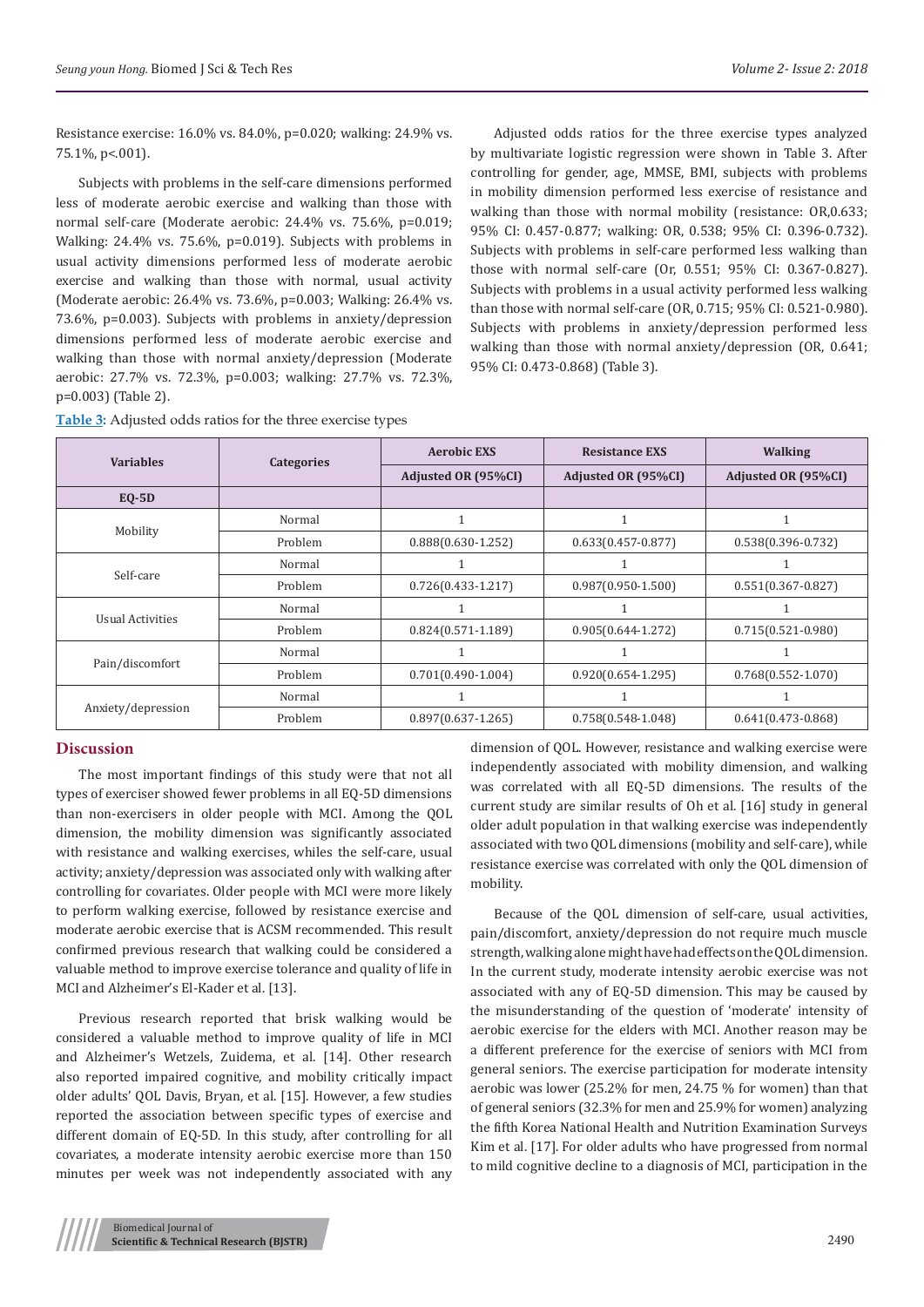Resistance exercise: 16.0% vs. 84.0%, p=0.020; walking: 24.9% vs. 75.1%, p<.001).

Subjects with problems in the self-care dimensions performed less of moderate aerobic exercise and walking than those with normal self-care (Moderate aerobic: 24.4% vs. 75.6%, p=0.019; Walking: 24.4% vs. 75.6%, p=0.019). Subjects with problems in usual activity dimensions performed less of moderate aerobic exercise and walking than those with normal, usual activity (Moderate aerobic: 26.4% vs. 73.6%, p=0.003; Walking: 26.4% vs. 73.6%, p=0.003). Subjects with problems in anxiety/depression dimensions performed less of moderate aerobic exercise and walking than those with normal anxiety/depression (Moderate aerobic: 27.7% vs. 72.3%, p=0.003; walking: 27.7% vs. 72.3%, p=0.003) (Table 2).

Adjusted odds ratios for the three exercise types analyzed by multivariate logistic regression were shown in Table 3. After controlling for gender, age, MMSE, BMI, subjects with problems in mobility dimension performed less exercise of resistance and walking than those with normal mobility (resistance: OR,0.633; 95% CI: 0.457-0.877; walking: OR, 0.538; 95% CI: 0.396-0.732). Subjects with problems in self-care performed less walking than those with normal self-care (Or, 0.551; 95% CI: 0.367-0.827). Subjects with problems in a usual activity performed less walking than those with normal self-care (OR, 0.715; 95% CI: 0.521-0.980). Subjects with problems in anxiety/depression performed less walking than those with normal anxiety/depression (OR, 0.641; 95% CI: 0.473-0.868) (Table 3).

| <b>Table 3:</b> Adjusted odds ratios for the three exercise types |  |  |  |
|-------------------------------------------------------------------|--|--|--|
|-------------------------------------------------------------------|--|--|--|

| <b>Variables</b>        | Categories | <b>Aerobic EXS</b>     | <b>Resistance EXS</b>  | <b>Walking</b>         |  |
|-------------------------|------------|------------------------|------------------------|------------------------|--|
|                         |            | Adjusted OR (95%CI)    | Adjusted OR (95%CI)    | Adjusted OR (95%CI)    |  |
| $EO-5D$                 |            |                        |                        |                        |  |
|                         | Normal     |                        | 1                      |                        |  |
| Mobility                | Problem    | $0.888(0.630 - 1.252)$ | $0.633(0.457-0.877)$   | $0.538(0.396 - 0.732)$ |  |
| Self-care               | Normal     |                        |                        |                        |  |
|                         | Problem    | $0.726(0.433 - 1.217)$ | $0.987(0.950 - 1.500)$ | $0.551(0.367 - 0.827)$ |  |
|                         | Normal     |                        |                        |                        |  |
| <b>Usual Activities</b> | Problem    | $0.824(0.571-1.189)$   | $0.905(0.644 - 1.272)$ | $0.715(0.521-0.980)$   |  |
| Pain/discomfort         | Normal     |                        | 1                      |                        |  |
|                         | Problem    | $0.701(0.490-1.004)$   | $0.920(0.654 - 1.295)$ | $0.768(0.552 - 1.070)$ |  |
| Anxiety/depression      | Normal     |                        |                        |                        |  |
|                         | Problem    | $0.897(0.637 - 1.265)$ | $0.758(0.548-1.048)$   | $0.641(0.473-0.868)$   |  |

#### **Discussion**

The most important findings of this study were that not all types of exerciser showed fewer problems in all EQ-5D dimensions than non-exercisers in older people with MCI. Among the QOL dimension, the mobility dimension was significantly associated with resistance and walking exercises, whiles the self-care, usual activity; anxiety/depression was associated only with walking after controlling for covariates. Older people with MCI were more likely to perform walking exercise, followed by resistance exercise and moderate aerobic exercise that is ACSM recommended. This result confirmed previous research that walking could be considered a valuable method to improve exercise tolerance and quality of life in MCI and Alzheimer's El-Kader et al. [13].

Previous research reported that brisk walking would be considered a valuable method to improve quality of life in MCI and Alzheimer's Wetzels, Zuidema, et al. [14]. Other research also reported impaired cognitive, and mobility critically impact older adults' QOL Davis, Bryan, et al. [15]. However, a few studies reported the association between specific types of exercise and different domain of EQ-5D. In this study, after controlling for all covariates, a moderate intensity aerobic exercise more than 150 minutes per week was not independently associated with any

dimension of QOL. However, resistance and walking exercise were independently associated with mobility dimension, and walking was correlated with all EQ-5D dimensions. The results of the current study are similar results of Oh et al. [16] study in general older adult population in that walking exercise was independently associated with two QOL dimensions (mobility and self-care), while resistance exercise was correlated with only the QOL dimension of mobility.

Because of the QOL dimension of self-care, usual activities, pain/discomfort, anxiety/depression do not require much muscle strength, walking alone might have had effects on the QOL dimension. In the current study, moderate intensity aerobic exercise was not associated with any of EQ-5D dimension. This may be caused by the misunderstanding of the question of 'moderate' intensity of aerobic exercise for the elders with MCI. Another reason may be a different preference for the exercise of seniors with MCI from general seniors. The exercise participation for moderate intensity aerobic was lower (25.2% for men, 24.75 % for women) than that of general seniors (32.3% for men and 25.9% for women) analyzing the fifth Korea National Health and Nutrition Examination Surveys Kim et al. [17]. For older adults who have progressed from normal to mild cognitive decline to a diagnosis of MCI, participation in the